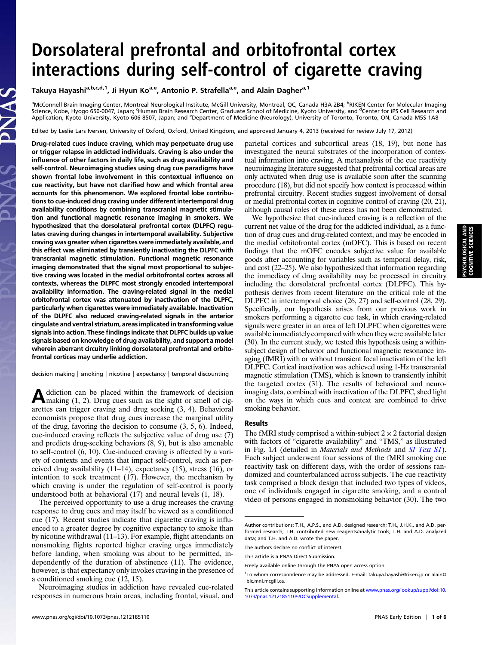## Dorsolateral prefrontal and orbitofrontal cortex interactions during self-control of cigarette craving

Takuya Hayashi<sup>a,b,c,d,1</sup>, Ji Hyun Ko<sup>a,e</sup>, Antonio P. Strafella<sup>a,e</sup>, and Alain Dagher<sup>a,1</sup>

<sup>a</sup>McConnell Brain Imaging Center, Montreal Neurological Institute, McGill University, Montreal, QC, Canada H3A 2B4; <sup>b</sup>RIKEN Center for Molecular Imaging Science, Kobe, Hyogo 650-0047, Japan; <sup>c</sup>Human Brain Research Center, Graduate School of Medicine, Kyoto University, and <sup>d</sup>Center for iPS Cell Research and Application, Kyoto University, Kyoto 606-8507, Japan; and <sup>e</sup>Department of Medicine (Neurology), University of Toronto, Toronto, ON, Canada M5S 1A8

Edited by Leslie Lars Iversen, University of Oxford, Oxford, United Kingdom, and approved January 4, 2013 (received for review July 17, 2012)

Drug-related cues induce craving, which may perpetuate drug use or trigger relapse in addicted individuals. Craving is also under the influence of other factors in daily life, such as drug availability and self-control. Neuroimaging studies using drug cue paradigms have shown frontal lobe involvement in this contextual influence on cue reactivity, but have not clarified how and which frontal area accounts for this phenomenon. We explored frontal lobe contributions to cue-induced drug craving under different intertemporal drug availability conditions by combining transcranial magnetic stimulation and functional magnetic resonance imaging in smokers. We hypothesized that the dorsolateral prefrontal cortex (DLPFC) regulates craving during changes in intertemporal availability. Subjective craving was greater when cigarettes were immediately available, and this effect was eliminated by transiently inactivating the DLPFC with transcranial magnetic stimulation. Functional magnetic resonance imaging demonstrated that the signal most proportional to subjective craving was located in the medial orbitofrontal cortex across all contexts, whereas the DLPFC most strongly encoded intertemporal availability information. The craving-related signal in the medial orbitofrontal cortex was attenuated by inactivation of the DLPFC, particularly when cigarettes were immediately available. Inactivation of the DLPFC also reduced craving-related signals in the anterior cingulate and ventral striatum, areas implicated in transforming value signals into action. These findings indicate that DLPFC builds up value signals based on knowledge of drug availability, and support a model wherein aberrant circuitry linking dorsolateral prefrontal and orbitofrontal cortices may underlie addiction.

decision making | smoking | nicotine | expectancy | temporal discounting

Addiction can be placed within the framework of decision<br>
making (1, 2). Drug cues such as the sight or smell of cigarettes can trigger craving and drug seeking (3, 4). Behavioral economists propose that drug cues increase the marginal utility of the drug, favoring the decision to consume (3, 5, 6). Indeed, cue-induced craving reflects the subjective value of drug use (7) and predicts drug-seeking behaviors (8, 9), but is also amenable to self-control (6, 10). Cue-induced craving is affected by a variety of contexts and events that impact self-control, such as perceived drug availability (11–14), expectancy (15), stress (16), or intention to seek treatment (17). However, the mechanism by which craving is under the regulation of self-control is poorly understood both at behavioral (17) and neural levels (1, 18).

The perceived opportunity to use a drug increases the craving response to drug cues and may itself be viewed as a conditioned cue (17). Recent studies indicate that cigarette craving is influenced to a greater degree by cognitive expectancy to smoke than by nicotine withdrawal (11–13). For example, flight attendants on nonsmoking flights reported higher craving urges immediately before landing, when smoking was about to be permitted, independently of the duration of abstinence (11). The evidence, however, is that expectancy only invokes craving in the presence of a conditioned smoking cue (12, 15).

Neuroimaging studies in addiction have revealed cue-related responses in numerous brain areas, including frontal, visual, and

parietal cortices and subcortical areas (18, 19), but none has investigated the neural substrates of the incorporation of contextual information into craving. A metaanalysis of the cue reactivity neuroimaging literature suggested that prefrontal cortical areas are only activated when drug use is available soon after the scanning procedure (18), but did not specify how context is processed within prefrontal circuitry. Recent studies suggest involvement of dorsal or medial prefrontal cortex in cognitive control of craving (20, 21), although causal roles of these areas has not been demonstrated.

We hypothesize that cue-induced craving is a reflection of the current net value of the drug for the addicted individual, as a function of drug cues and drug-related context, and may be encoded in the medial orbitofrontal cortex (mOFC). This is based on recent findings that the mOFC encodes subjective value for available goods after accounting for variables such as temporal delay, risk, and cost (22–25). We also hypothesized that information regarding the immediacy of drug availability may be processed in circuitry including the dorsolateral prefrontal cortex (DLPFC). This hypothesis derives from recent literature on the critical role of the DLPFC in intertemporal choice (26, 27) and self-control (28, 29). Specifically, our hypothesis arises from our previous work in smokers performing a cigarette cue task, in which craving-related signals were greater in an area of left DLPFC when cigarettes were available immediately compared with when they were available later (30). In the current study, we tested this hypothesis using a withinsubject design of behavior and functional magnetic resonance imaging (fMRI) with or without transient focal inactivation of the left DLPFC. Cortical inactivation was achieved using 1-Hz transcranial magnetic stimulation (TMS), which is known to transiently inhibit the targeted cortex (31). The results of behavioral and neuroimaging data, combined with inactivation of the DLPFC, shed light on the ways in which cues and context are combined to drive smoking behavior.

## Results

The fMRI study comprised a within-subject  $2 \times 2$  factorial design with factors of "cigarette availability" and "TMS," as illustrated in Fig. 1A (detailed in Materials and Methods and [SI Text S1](http://www.pnas.org/lookup/suppl/doi:10.1073/pnas.1212185110/-/DCSupplemental/pnas.201212185SI.pdf?targetid=nameddest=STXT)). Each subject underwent four sessions of the fMRI smoking cue reactivity task on different days, with the order of sessions randomized and counterbalanced across subjects. The cue reactivity task comprised a block design that included two types of videos, one of individuals engaged in cigarette smoking, and a control video of persons engaged in nonsmoking behavior (30). The two

Author contributions: T.H., A.P.S., and A.D. designed research; T.H., J.H.K., and A.D. performed research; T.H. contributed new reagents/analytic tools; T.H. and A.D. analyzed data; and T.H. and A.D. wrote the paper.

The authors declare no conflict of interest.

This article is a PNAS Direct Submission.

Freely available online through the PNAS open access option.

<sup>1</sup> To whom correspondence may be addressed. E-mail: [takuya.hayashi@riken.jp](mailto:takuya.hayashi@riken.jp) or [alain@](mailto:alain@bic.mni.mcgill.ca) [bic.mni.mcgill.ca.](mailto:alain@bic.mni.mcgill.ca)

This article contains supporting information online at [www.pnas.org/lookup/suppl/doi:10.](http://www.pnas.org/lookup/suppl/doi:10.1073/pnas.1212185110/-/DCSupplemental) [1073/pnas.1212185110/-/DCSupplemental](http://www.pnas.org/lookup/suppl/doi:10.1073/pnas.1212185110/-/DCSupplemental).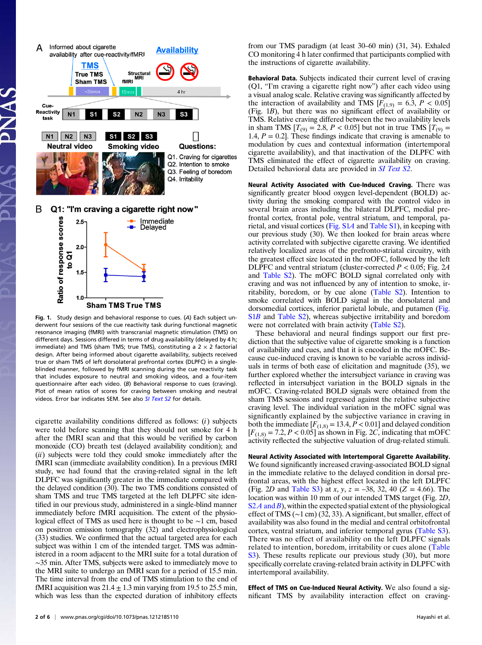



Fig. 1. Study design and behavioral response to cues. (A) Each subject underwent four sessions of the cue reactivity task during functional magnetic resonance imaging (fMRI) with transcranial magnetic stimulation (TMS) on different days. Sessions differed in terms of drug availability (delayed by 4 h; immediate) and TMS (sham TMS; true TMS), constituting a  $2 \times 2$  factorial design. After being informed about cigarette availability, subjects received true or sham TMS of left dorsolateral prefrontal cortex (DLPFC) in a singleblinded manner, followed by fMRI scanning during the cue reactivity task that includes exposure to neutral and smoking videos, and a four-item questionnaire after each video. (B) Behavioral response to cues (craving). Plot of mean ratios of scores for craving between smoking and neutral videos. Error bar indicates SEM. See also [SI Text S2](http://www.pnas.org/lookup/suppl/doi:10.1073/pnas.1212185110/-/DCSupplemental/pnas.201212185SI.pdf?targetid=nameddest=STXT) for details.

cigarette availability conditions differed as follows: (i) subjects were told before scanning that they should not smoke for 4 h after the fMRI scan and that this would be verified by carbon monoxide (CO) breath test (delayed availability condition); and (ii) subjects were told they could smoke immediately after the fMRI scan (immediate availability condition). In a previous fMRI study, we had found that the craving-related signal in the left DLPFC was significantly greater in the immediate compared with the delayed condition (30). The two TMS conditions consisted of sham TMS and true TMS targeted at the left DLPFC site identified in our previous study, administered in a single-blind manner immediately before fMRI acquisition. The extent of the physiological effect of TMS as used here is thought to be ∼1 cm, based on positron emission tomography (32) and electrophysiological (33) studies. We confirmed that the actual targeted area for each subject was within 1 cm of the intended target. TMS was administered in a room adjacent to the MRI suite for a total duration of ∼35 min. After TMS, subjects were asked to immediately move to the MRI suite to undergo an fMRI scan for a period of 15.5 min. The time interval from the end of TMS stimulation to the end of fMRI acquisition was  $21.4 \pm 1.3$  min varying from 19.5 to 25.5 min, which was less than the expected duration of inhibitory effects from our TMS paradigm (at least 30–60 min) (31, 34). Exhaled CO monitoring 4 h later confirmed that participants complied with the instructions of cigarette availability.

Behavioral Data. Subjects indicated their current level of craving (Q1, "I'm craving a cigarette right now") after each video using a visual analog scale. Relative craving was significantly affected by the interaction of availability and TMS  $[F_{(1,9)} = 6.3, P < 0.05]$ (Fig. 1B), but there was no significant effect of availability or TMS. Relative craving differed between the two availability levels in sham TMS  $[T_{(9)} = 2.8, P < 0.05]$  but not in true TMS  $[T_{(9)} =$ 1.4,  $P = 0.2$ . These findings indicate that craving is amenable to modulation by cues and contextual information (intertemporal cigarette availability), and that inactivation of the DLPFC with TMS eliminated the effect of cigarette availability on craving. Detailed behavioral data are provided in *[SI Text S2](http://www.pnas.org/lookup/suppl/doi:10.1073/pnas.1212185110/-/DCSupplemental/pnas.201212185SI.pdf?targetid=nameddest=STXT)*.

Neural Activity Associated with Cue-Induced Craving. There was significantly greater blood oxygen level-dependent (BOLD) activity during the smoking compared with the control video in several brain areas including the bilateral DLPFC, medial prefrontal cortex, frontal pole, ventral striatum, and temporal, parietal, and visual cortices ([Fig. S1](http://www.pnas.org/lookup/suppl/doi:10.1073/pnas.1212185110/-/DCSupplemental/pnas.201212185SI.pdf?targetid=nameddest=SF1)A and [Table S1\)](http://www.pnas.org/lookup/suppl/doi:10.1073/pnas.1212185110/-/DCSupplemental/pnas.201212185SI.pdf?targetid=nameddest=ST1), in keeping with our previous study (30). We then looked for brain areas where activity correlated with subjective cigarette craving. We identified relatively localized areas of the prefronto-striatal circuitry, with the greatest effect size located in the mOFC, followed by the left DLPFC and ventral striatum (cluster-corrected  $P < 0.05$ ; Fig. 2A and [Table S2](http://www.pnas.org/lookup/suppl/doi:10.1073/pnas.1212185110/-/DCSupplemental/pnas.201212185SI.pdf?targetid=nameddest=ST2)). The mOFC BOLD signal correlated only with craving and was not influenced by any of intention to smoke, irritability, boredom, or by cue alone [\(Table S2\)](http://www.pnas.org/lookup/suppl/doi:10.1073/pnas.1212185110/-/DCSupplemental/pnas.201212185SI.pdf?targetid=nameddest=ST2). Intention to smoke correlated with BOLD signal in the dorsolateral and dorsomedial cortices, inferior parietal lobule, and putamen [\(Fig.](http://www.pnas.org/lookup/suppl/doi:10.1073/pnas.1212185110/-/DCSupplemental/pnas.201212185SI.pdf?targetid=nameddest=SF1) [S1](http://www.pnas.org/lookup/suppl/doi:10.1073/pnas.1212185110/-/DCSupplemental/pnas.201212185SI.pdf?targetid=nameddest=SF1)B and [Table S2](http://www.pnas.org/lookup/suppl/doi:10.1073/pnas.1212185110/-/DCSupplemental/pnas.201212185SI.pdf?targetid=nameddest=ST2)), whereas subjective irritability and boredom were not correlated with brain activity [\(Table S2\)](http://www.pnas.org/lookup/suppl/doi:10.1073/pnas.1212185110/-/DCSupplemental/pnas.201212185SI.pdf?targetid=nameddest=ST2).

These behavioral and neural findings support our first prediction that the subjective value of cigarette smoking is a function of availability and cues, and that it is encoded in the mOFC. Because cue-induced craving is known to be variable across individuals in terms of both ease of elicitation and magnitude (35), we further explored whether the intersubject variance in craving was reflected in intersubject variation in the BOLD signals in the mOFC. Craving-related BOLD signals were obtained from the sham TMS sessions and regressed against the relative subjective craving level. The individual variation in the mOFC signal was significantly explained by the subjective variance in craving in both the immediate  $[F_{(1,8)} = 13.4, P < 0.01]$  and delayed condition  $[F_{(1,8)} = 7.2, P < 0.05]$  as shown in Fig. 2C, indicating that mOFC activity reflected the subjective valuation of drug-related stimuli.

Neural Activity Associated with Intertemporal Cigarette Availability. We found significantly increased craving-associated BOLD signal in the immediate relative to the delayed condition in dorsal prefrontal areas, with the highest effect located in the left DLPFC (Fig. 2D and [Table S3](http://www.pnas.org/lookup/suppl/doi:10.1073/pnas.1212185110/-/DCSupplemental/pnas.201212185SI.pdf?targetid=nameddest=ST3)) at x, y,  $z = -38$ , 32, 40 (Z = 4.66). The location was within 10 mm of our intended TMS target (Fig. 2D,  $S2A$  [and](http://www.pnas.org/lookup/suppl/doi:10.1073/pnas.1212185110/-/DCSupplemental/pnas.201212185SI.pdf?targetid=nameddest=SF2) B), within the expected spatial extent of the physiological effect of TMS (∼1 cm) (32, 33). A significant, but smaller, effect of availability was also found in the medial and central orbitofrontal cortex, ventral striatum, and inferior temporal gyrus ([Table S3\)](http://www.pnas.org/lookup/suppl/doi:10.1073/pnas.1212185110/-/DCSupplemental/pnas.201212185SI.pdf?targetid=nameddest=ST3). There was no effect of availability on the left DLPFC signals related to intention, boredom, irritability or cues alone ([Table](http://www.pnas.org/lookup/suppl/doi:10.1073/pnas.1212185110/-/DCSupplemental/pnas.201212185SI.pdf?targetid=nameddest=ST3) [S3\)](http://www.pnas.org/lookup/suppl/doi:10.1073/pnas.1212185110/-/DCSupplemental/pnas.201212185SI.pdf?targetid=nameddest=ST3). These results replicate our previous study (30), but more specifically correlate craving-related brain activity in DLPFC with intertemporal availability.

Effect of TMS on Cue-Induced Neural Activity. We also found a significant TMS by availability interaction effect on craving-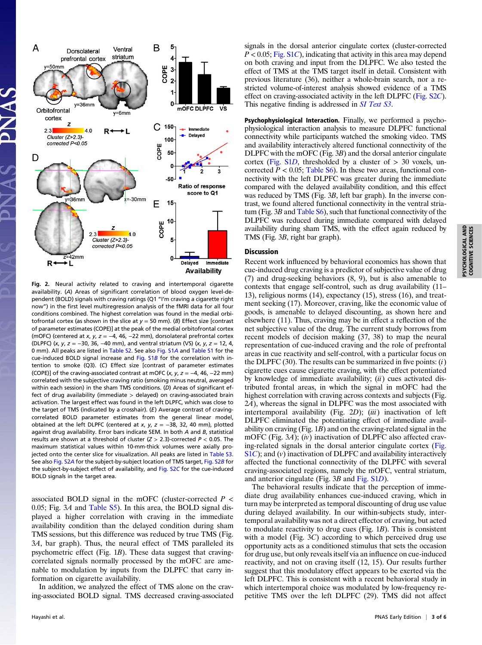

Fig. 2. Neural activity related to craving and intertemporal cigarette availability. (A) Areas of significant correlation of blood oxygen level-dependent (BOLD) signals with craving ratings (Q1 "I'm craving a cigarette right now") in the first level multiregression analysis of the fMRI data for all four conditions combined. The highest correlation was found in the medial orbitofrontal cortex (as shown in the slice at  $y = 50$  mm). (B) Effect size [contrast of parameter estimates (COPE)] at the peak of the medial orbitofrontal cortex (mOFC) (centered at x, y,  $z = -4$ , 46, -22 mm), dorsolateral prefrontal cortex (DLPFC) (x, y, z =  $-30$ , 36,  $-40$  mm), and ventral striatum (VS) (x, y, z = 12, 4, 0 mm). All peaks are listed in [Table S2](http://www.pnas.org/lookup/suppl/doi:10.1073/pnas.1212185110/-/DCSupplemental/pnas.201212185SI.pdf?targetid=nameddest=ST2). See also [Fig. S1](http://www.pnas.org/lookup/suppl/doi:10.1073/pnas.1212185110/-/DCSupplemental/pnas.201212185SI.pdf?targetid=nameddest=SF1)A and [Table S1](http://www.pnas.org/lookup/suppl/doi:10.1073/pnas.1212185110/-/DCSupplemental/pnas.201212185SI.pdf?targetid=nameddest=ST1) for the cue-induced BOLD signal increase and [Fig. S1](http://www.pnas.org/lookup/suppl/doi:10.1073/pnas.1212185110/-/DCSupplemental/pnas.201212185SI.pdf?targetid=nameddest=SF1)B for the correlation with intention to smoke (Q3). (C) Effect size [contrast of parameter estimates (COPE)] of the craving-associated contrast at mOFC (x, y,  $z = -4$ , 46, -22 mm) correlated with the subjective craving ratio (smoking minus neutral, averaged within each session) in the sham TMS conditions. (D) Areas of significant effect of drug availability (immediate > delayed) on craving-associated brain activation. The largest effect was found in the left DLPFC, which was close to the target of TMS (indicated by a crosshair). (E) Average contrast of cravingcorrelated BOLD parameter estimates from the general linear model, obtained at the left DLPFC (centered at x, y,  $z = -38$ , 32, 40 mm), plotted against drug availability. Error bars indicate SEM. In both A and B, statistical results are shown at a threshold of cluster  $(Z > 2.3)$ -corrected  $P < 0.05$ . The maximum statistical values within 10-mm-thick volumes were axially projected onto the center slice for visualization. All peaks are listed in [Table S3.](http://www.pnas.org/lookup/suppl/doi:10.1073/pnas.1212185110/-/DCSupplemental/pnas.201212185SI.pdf?targetid=nameddest=ST3) See also [Fig. S2](http://www.pnas.org/lookup/suppl/doi:10.1073/pnas.1212185110/-/DCSupplemental/pnas.201212185SI.pdf?targetid=nameddest=SF2)A for the subject-by-subject location of TMS target, Fig. S2B for the subject-by-subject effect of availability, and [Fig. S2](http://www.pnas.org/lookup/suppl/doi:10.1073/pnas.1212185110/-/DCSupplemental/pnas.201212185SI.pdf?targetid=nameddest=SF2)C for the cue-induced BOLD signals in the target area.

associated BOLD signal in the mOFC (cluster-corrected  $P \leq$ 0.05; Fig. 3A and [Table S5](http://www.pnas.org/lookup/suppl/doi:10.1073/pnas.1212185110/-/DCSupplemental/pnas.201212185SI.pdf?targetid=nameddest=ST5)). In this area, the BOLD signal displayed a higher correlation with craving in the immediate availability condition than the delayed condition during sham TMS sessions, but this difference was reduced by true TMS (Fig. 3A, bar graph). Thus, the neural effect of TMS paralleled its psychometric effect (Fig. 1B). These data suggest that cravingcorrelated signals normally processed by the mOFC are amenable to modulation by inputs from the DLPFC that carry information on cigarette availability.

In addition, we analyzed the effect of TMS alone on the craving-associated BOLD signal. TMS decreased craving-associated signals in the dorsal anterior cingulate cortex (cluster-corrected  $P < 0.05$ ; [Fig. S1](http://www.pnas.org/lookup/suppl/doi:10.1073/pnas.1212185110/-/DCSupplemental/pnas.201212185SI.pdf?targetid=nameddest=SF1)C), indicating that activity in this area may depend on both craving and input from the DLPFC. We also tested the effect of TMS at the TMS target itself in detail. Consistent with previous literature (36), neither a whole-brain search, nor a restricted volume-of-interest analysis showed evidence of a TMS effect on craving-associated activity in the left DLPFC ([Fig. S2](http://www.pnas.org/lookup/suppl/doi:10.1073/pnas.1212185110/-/DCSupplemental/pnas.201212185SI.pdf?targetid=nameddest=SF2)C). This negative finding is addressed in *[SI Text S3](http://www.pnas.org/lookup/suppl/doi:10.1073/pnas.1212185110/-/DCSupplemental/pnas.201212185SI.pdf?targetid=nameddest=STXT)*.

Psychophysiological Interaction. Finally, we performed a psychophysiological interaction analysis to measure DLPFC functional connectivity while participants watched the smoking video. TMS and availability interactively altered functional connectivity of the DLPFC with the mOFC (Fig. 3B) and the dorsal anterior cingulate cortex [\(Fig. S1](http://www.pnas.org/lookup/suppl/doi:10.1073/pnas.1212185110/-/DCSupplemental/pnas.201212185SI.pdf?targetid=nameddest=SF1)D, thresholded by a cluster of  $> 30$  voxels, uncorrected  $P < 0.05$ ; [Table S6\)](http://www.pnas.org/lookup/suppl/doi:10.1073/pnas.1212185110/-/DCSupplemental/pnas.201212185SI.pdf?targetid=nameddest=ST6). In these two areas, functional connectivity with the left DLPFC was greater during the immediate compared with the delayed availability condition, and this effect was reduced by TMS (Fig. 3B, left bar graph). In the inverse contrast, we found altered functional connectivity in the ventral striatum (Fig.  $3B$  and Table S<sub>6</sub>), such that functional connectivity of the DLPFC was reduced during immediate compared with delayed availability during sham TMS, with the effect again reduced by TMS (Fig. 3B, right bar graph).

## Discussion

Recent work influenced by behavioral economics has shown that cue-induced drug craving is a predictor of subjective value of drug (7) and drug-seeking behaviors (8, 9), but is also amenable to contexts that engage self-control, such as drug availability (11– 13), religious norms (14), expectancy (15), stress (16), and treatment seeking (17). Moreover, craving, like the economic value of goods, is amenable to delayed discounting, as shown here and elsewhere (11). Thus, craving may be in effect a reflection of the net subjective value of the drug. The current study borrows from recent models of decision making (37, 38) to map the neural representation of cue-induced craving and the role of prefrontal areas in cue reactivity and self-control, with a particular focus on the DLPFC (30). The results can be summarized in five points:  $(i)$ cigarette cues cause cigarette craving, with the effect potentiated by knowledge of immediate availability;  $(ii)$  cues activated distributed frontal areas, in which the signal in mOFC had the highest correlation with craving across contexts and subjects (Fig. 2A), whereas the signal in DLPFC was the most associated with intertemporal availability (Fig.  $2D$ ); (iii) inactivation of left DLPFC eliminated the potentiating effect of immediate availability on craving (Fig. 1B) and on the craving-related signal in the mOFC (Fig. 3A); (iv) inactivation of DLPFC also affected craving-related signals in the dorsal anterior cingulate cortex [\(Fig.](http://www.pnas.org/lookup/suppl/doi:10.1073/pnas.1212185110/-/DCSupplemental/pnas.201212185SI.pdf?targetid=nameddest=SF1)  $S1C$  $S1C$ ); and (v) inactivation of DLPFC and availability interactively affected the functional connectivity of the DLPFC with several craving-associated regions, namely the mOFC, ventral striatum, and anterior cingulate (Fig. 3B and [Fig. S1](http://www.pnas.org/lookup/suppl/doi:10.1073/pnas.1212185110/-/DCSupplemental/pnas.201212185SI.pdf?targetid=nameddest=SF1)D).

The behavioral results indicate that the perception of immediate drug availability enhances cue-induced craving, which in turn may be interpreted as temporal discounting of drug use value during delayed availability. In our within-subjects study, intertemporal availability was not a direct effector of craving, but acted to modulate reactivity to drug cues (Fig.  $1B$ ). This is consistent with a model (Fig. 3C) according to which perceived drug use opportunity acts as a conditioned stimulus that sets the occasion for drug use, but only reveals itself via an influence on cue-induced reactivity, and not on craving itself (12, 15). Our results further suggest that this modulatory effect appears to be exerted via the left DLPFC. This is consistent with a recent behavioral study in which intertemporal choice was modulated by low-frequency repetitive TMS over the left DLPFC (29). TMS did not affect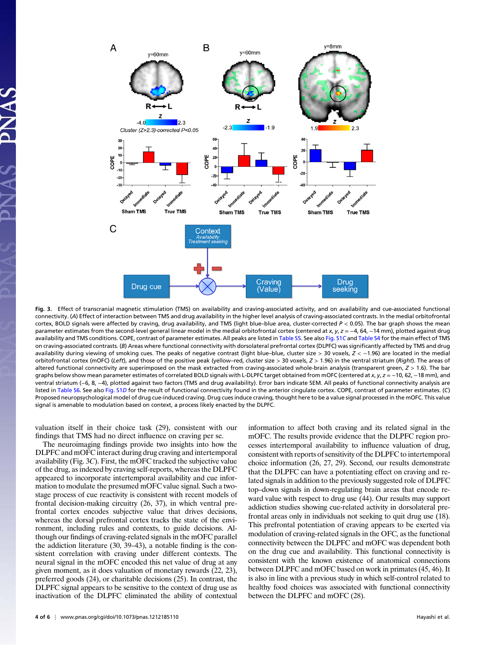

Fig. 3. Effect of transcranial magnetic stimulation (TMS) on availability and craving-associated activity, and on availability and cue-associated functional connectivity. (A) Effect of interaction between TMS and drug availability in the higher level analysis of craving-associated contrasts. In the medial orbitofrontal cortex, BOLD signals were affected by craving, drug availability, and TMS (light blue–blue area, cluster-corrected P < 0.05). The bar graph shows the mean parameter estimates from the second-level general linear model in the medial orbitofrontal cortex (centered at x, y, z = -4, 64, -14 mm), plotted against drug availability and TMS conditions. COPE, contrast of parameter estimates. All peaks are listed in [Table S5](http://www.pnas.org/lookup/suppl/doi:10.1073/pnas.1212185110/-/DCSupplemental/pnas.201212185SI.pdf?targetid=nameddest=ST5). See also [Fig. S1](http://www.pnas.org/lookup/suppl/doi:10.1073/pnas.1212185110/-/DCSupplemental/pnas.201212185SI.pdf?targetid=nameddest=SF1)C and [Table S4](http://www.pnas.org/lookup/suppl/doi:10.1073/pnas.1212185110/-/DCSupplemental/pnas.201212185SI.pdf?targetid=nameddest=ST4) for the main effect of TMS on craving-associated contrasts. (B) Areas where functional connectivity with dorsolateral prefrontal cortex (DLPFC) was significantly affected by TMS and drug availability during viewing of smoking cues. The peaks of negative contrast (light blue–blue, cluster size > 30 voxels, Z < −1.96) are located in the medial orbitofrontal cortex (mOFC) (Left), and those of the positive peak (yellow-red, cluster size > 30 voxels,  $Z > 1.96$ ) in the ventral striatum (Right). The areas of altered functional connectivity are superimposed on the mask extracted from craving-associated whole-brain analysis (transparent green,  $Z > 1.6$ ). The bar graphs below show mean parameter estimates of correlated BOLD signals with L-DLPFC target obtained from mOFC (centered at x, y, z = -10, 62, -18 mm), and ventral striatum (−6, 8, −4), plotted against two factors (TMS and drug availability). Error bars indicate SEM. All peaks of functional connectivity analysis are listed in [Table S6.](http://www.pnas.org/lookup/suppl/doi:10.1073/pnas.1212185110/-/DCSupplemental/pnas.201212185SI.pdf?targetid=nameddest=ST6) See also [Fig. S1](http://www.pnas.org/lookup/suppl/doi:10.1073/pnas.1212185110/-/DCSupplemental/pnas.201212185SI.pdf?targetid=nameddest=SF1)D for the result of functional connectivity found in the anterior cingulate cortex. COPE, contrast of parameter estimates. (C) Proposed neuropsychological model of drug cue-induced craving. Drug cues induce craving, thought here to be a value signal processed in the mOFC. This value signal is amenable to modulation based on context, a process likely enacted by the DLPFC.

valuation itself in their choice task (29), consistent with our findings that TMS had no direct influence on craving per se.

The neuroimaging findings provide two insights into how the DLPFC and mOFC interact during drug craving and intertemporal availability (Fig. 3C). First, the mOFC tracked the subjective value of the drug, as indexed by craving self-reports, whereas the DLPFC appeared to incorporate intertemporal availability and cue information to modulate the presumed mOFC value signal. Such a twostage process of cue reactivity is consistent with recent models of frontal decision-making circuitry (26, 37), in which ventral prefrontal cortex encodes subjective value that drives decisions, whereas the dorsal prefrontal cortex tracks the state of the environment, including rules and contexts, to guide decisions. Although our findings of craving-related signals in the mOFC parallel the addiction literature (30, 39–43), a notable finding is the consistent correlation with craving under different contexts. The neural signal in the mOFC encoded this net value of drug at any given moment, as it does valuation of monetary rewards (22, 23), preferred goods (24), or charitable decisions (25). In contrast, the DLPFC signal appears to be sensitive to the context of drug use as inactivation of the DLPFC eliminated the ability of contextual

4 of 6 | <www.pnas.org/cgi/doi/10.1073/pnas.1212185110> Hayashi et al.

information to affect both craving and its related signal in the mOFC. The results provide evidence that the DLPFC region processes intertemporal availability to influence valuation of drug, consistent with reports of sensitivity of the DLPFC to intertemporal choice information (26, 27, 29). Second, our results demonstrate that the DLPFC can have a potentiating effect on craving and related signals in addition to the previously suggested role of DLPFC top–down signals in down-regulating brain areas that encode reward value with respect to drug use (44). Our results may support addiction studies showing cue-related activity in dorsolateral prefrontal areas only in individuals not seeking to quit drug use (18). This prefrontal potentiation of craving appears to be exerted via modulation of craving-related signals in the OFC, as the functional connectivity between the DLPFC and mOFC was dependent both on the drug cue and availability. This functional connectivity is consistent with the known existence of anatomical connections between DLPFC and mOFC based on work in primates (45, 46). It is also in line with a previous study in which self-control related to healthy food choices was associated with functional connectivity between the DLPFC and mOFC (28).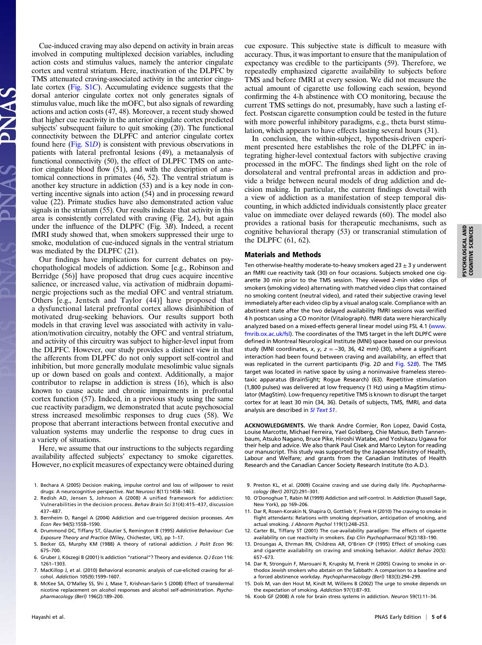Cue-induced craving may also depend on activity in brain areas involved in computing multiplexed decision variables, including action costs and stimulus values, namely the anterior cingulate cortex and ventral striatum. Here, inactivation of the DLPFC by TMS attenuated craving-associated activity in the anterior cingulate cortex [\(Fig. S1](http://www.pnas.org/lookup/suppl/doi:10.1073/pnas.1212185110/-/DCSupplemental/pnas.201212185SI.pdf?targetid=nameddest=SF1)C). Accumulating evidence suggests that the dorsal anterior cingulate cortex not only generates signals of stimulus value, much like the mOFC, but also signals of rewarding actions and action costs (47, 48). Moreover, a recent study showed that higher cue reactivity in the anterior cingulate cortex predicted subjects' subsequent failure to quit smoking (20). The functional connectivity between the DLPFC and anterior cingulate cortex found here [\(Fig. S1](http://www.pnas.org/lookup/suppl/doi:10.1073/pnas.1212185110/-/DCSupplemental/pnas.201212185SI.pdf?targetid=nameddest=SF1)D) is consistent with previous observations in patients with lateral prefrontal lesions (49), a metaanalysis of functional connectivity (50), the effect of DLPFC TMS on anterior cingulate blood flow (51), and with the description of anatomical connections in primates (46, 52). The ventral striatum is another key structure in addiction (53) and is a key node in converting incentive signals into action (54) and in processing reward value (22). Primate studies have also demonstrated action value signals in the striatum (55). Our results indicate that activity in this area is consistently correlated with craving (Fig. 2A), but again under the influence of the DLPFC (Fig. 3B). Indeed, a recent fMRI study showed that, when smokers suppressed their urge to smoke, modulation of cue-induced signals in the ventral striatum was mediated by the DLPFC (21).

Our findings have implications for current debates on psychopathological models of addiction. Some [e.g., Robinson and Berridge (56)] have proposed that drug cues acquire incentive salience, or increased value, via activation of midbrain dopaminergic projections such as the medial OFC and ventral striatum. Others [e.g., Jentsch and Taylor (44)] have proposed that a dysfunctional lateral prefrontal cortex allows disinhibition of motivated drug-seeking behaviors. Our results support both models in that craving level was associated with activity in valuation/motivation circuitry, notably the OFC and ventral striatum, and activity of this circuitry was subject to higher-level input from the DLPFC. However, our study provides a distinct view in that the afferents from DLPFC do not only support self-control and inhibition, but more generally modulate mesolimbic value signals up or down based on goals and context. Additionally, a major contributor to relapse in addiction is stress (16), which is also known to cause acute and chronic impairments in prefrontal cortex function (57). Indeed, in a previous study using the same cue reactivity paradigm, we demonstrated that acute psychosocial stress increased mesolimbic responses to drug cues (58). We propose that aberrant interactions between frontal executive and valuation systems may underlie the response to drug cues in a variety of situations.

Here, we assume that our instructions to the subjects regarding availability affected subjects' expectancy to smoke cigarettes. However, no explicit measures of expectancy were obtained during

- 1. Bechara A (2005) Decision making, impulse control and loss of willpower to resist drugs: A neurocognitive perspective. Nat Neurosci 8(11):1458–1463.
- 2. Redish AD, Jensen S, Johnson A (2008) A unified framework for addiction: Vulnerabilities in the decision process. Behav Brain Sci 31(4):415–437, discussion 437–487.
- 3. Bernheim D, Rangel A (2004) Addiction and cue-triggered decision processes. Am Econ Rev 94(5):1558–1590.
- 4. Drummond DC, Tiffany ST, Glautier S, Remington B (1995) Addictive Behaviour: Cue Exposure Theory and Practice (Wiley, Chichester, UK), pp 1–17.
- 5. Becker GS, Murphy KM (1988) A theory of rational addiction. J Polit Econ 96: 675–700.
- 6. Gruber J, Köszegi B (2001) Is addiction "rational"? Theory and evidence. Q J Econ 116: 1261–1303.
- 7. MacKillop J, et al. (2010) Behavioral economic analysis of cue-elicited craving for alcohol. Addiction 105(9):1599–1607.
- 8. McKee SA, O'Malley SS, Shi J, Mase T, Krishnan-Sarin S (2008) Effect of transdermal nicotine replacement on alcohol responses and alcohol self-administration. Psychopharmacology (Berl) 196(2):189–200.

cue exposure. This subjective state is difficult to measure with accuracy. Thus, it was important to ensure that the manipulation of expectancy was credible to the participants (59). Therefore, we repeatedly emphasized cigarette availability to subjects before TMS and before fMRI at every session. We did not measure the actual amount of cigarette use following each session, beyond confirming the 4-h abstinence with CO monitoring, because the current TMS settings do not, presumably, have such a lasting effect. Postscan cigarette consumption could be tested in the future with more powerful inhibitory paradigms, e.g., theta burst stimulation, which appears to have effects lasting several hours (31).

In conclusion, the within-subject, hypothesis-driven experiment presented here establishes the role of the DLPFC in integrating higher-level contextual factors with subjective craving processed in the mOFC. The findings shed light on the role of dorsolateral and ventral prefrontal areas in addiction and provide a bridge between neural models of drug addiction and decision making. In particular, the current findings dovetail with a view of addiction as a manifestation of steep temporal discounting, in which addicted individuals consistently place greater value on immediate over delayed rewards (60). The model also provides a rational basis for therapeutic mechanisms, such as cognitive behavioral therapy (53) or transcranial stimulation of the DLPFC (61, 62).

## Materials and Methods

Ten otherwise-healthy moderate-to-heavy smokers aged  $23 + 3$  y underwent an fMRI cue reactivity task (30) on four occasions. Subjects smoked one cigarette 30 min prior to the TMS session. They viewed 2-min video clips of smokers (smoking video) alternating with matched video clips that contained no smoking content (neutral video), and rated their subjective craving level immediately after each video clip by a visual analog scale. Compliance with an abstinent state after the two delayed availability fMRI sessions was verified 4 h postscan using a CO monitor (Vitalograph). fMRI data were hierarchically analyzed based on a mixed-effects general linear model using FSL 4.1 ([www.](http://www.fmrib.ox.ac.uk/fsl) [fmrib.ox.ac.uk/fsl](http://www.fmrib.ox.ac.uk/fsl)). The coordinates of the TMS target in the left DLPFC were defined in Montreal Neurological Institute (MNI) space based on our previous study (MNI coordinates, x, y,  $z = -30$ , 36, 42 mm) (30), where a significant interaction had been found between craving and availability, an effect that was replicated in the current participants (Fig. 2D and [Fig. S2](http://www.pnas.org/lookup/suppl/doi:10.1073/pnas.1212185110/-/DCSupplemental/pnas.201212185SI.pdf?targetid=nameddest=SF2)B). The TMS target was located in native space by using a noninvasive frameless stereotaxic apparatus (BrainSight; Rogue Research) (63). Repetitive stimulation (1,800 pulses) was delivered at low frequency (1 Hz) using a MagStim stimulator (MagStim). Low-frequency repetitive TMS is known to disrupt the target cortex for at least 30 min (34, 36). Details of subjects, TMS, fMRI, and data analysis are described in [SI Text S1](http://www.pnas.org/lookup/suppl/doi:10.1073/pnas.1212185110/-/DCSupplemental/pnas.201212185SI.pdf?targetid=nameddest=STXT).

ACKNOWLEDGMENTS. We thank Andre Cormier, Ron Lopez, David Costa, Louise Marcotte, Michael Ferreira, Yael Goldberg, Chie Matsuo, Beth Tannenbaum, Atsuko Nagano, Bruce Pike, Hiroshi Watabe, and Yoshikazu Ugawa for their help and advice. We also thank Paul Cisek and Marco Leyton for reading our manuscript. This study was supported by the Japanese Ministry of Health, Labour and Welfare; and grants from the Canadian Institutes of Health Research and the Canadian Cancer Society Research Institute (to A.D.).

- 9. Preston KL, et al. (2009) Cocaine craving and use during daily life. Psychopharmacology (Berl) 207(2):291–301.
- 10. O'Donoghue T, Rabin M (1999) Addiction and self-control. In Addiction (Russell Sage, New York), pp 169–206.
- 11. Dar R, Rosen-Korakin N, Shapira O, Gottlieb Y, Frenk H (2010) The craving to smoke in flight attendants: Relations with smoking deprivation, anticipation of smoking, and actual smoking. J Abnorm Psychol 119(1):248–253.
- 12. Carter BL, Tiffany ST (2001) The cue-availability paradigm: The effects of cigarette availability on cue reactivity in smokers. Exp Clin Psychopharmacol 9(2):183–190.
- 13. Droungas A, Ehrman RN, Childress AR, O'Brien CP (1995) Effect of smoking cues and cigarette availability on craving and smoking behavior. Addict Behav 20(5): 657–673.
- 14. Dar R, Stronguin F, Marouani R, Krupsky M, Frenk H (2005) Craving to smoke in orthodox Jewish smokers who abstain on the Sabbath: A comparison to a baseline and a forced abstinence workday. Psychopharmacology (Berl) 183(3):294–299.
- 15. Dols M, van den Hout M, Kindt M, Willems B (2002) The urge to smoke depends on the expectation of smoking. Addiction 97(1):87–93.
- 16. Koob GF (2008) A role for brain stress systems in addiction. Neuron 59(1):11–34.